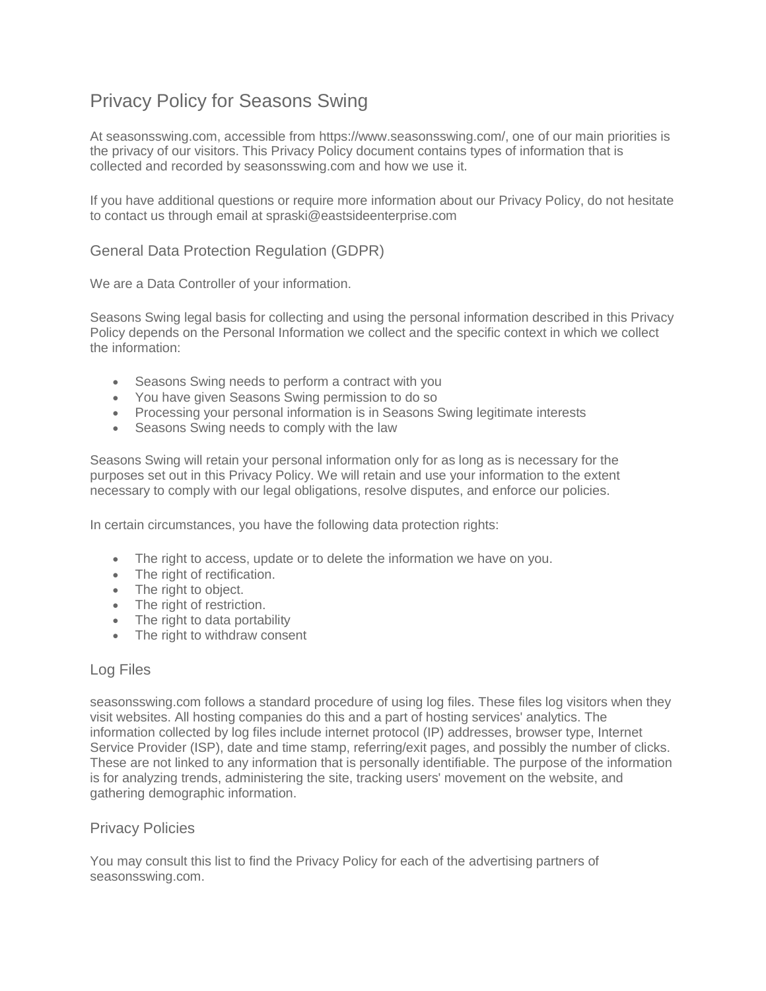# Privacy Policy for Seasons Swing

At seasonsswing.com, accessible from https://www.seasonsswing.com/, one of our main priorities is the privacy of our visitors. This Privacy Policy document contains types of information that is collected and recorded by seasonsswing.com and how we use it.

If you have additional questions or require more information about our Privacy Policy, do not hesitate to contact us through email at spraski@eastsideenterprise.com

## General Data Protection Regulation (GDPR)

We are a Data Controller of your information.

Seasons Swing legal basis for collecting and using the personal information described in this Privacy Policy depends on the Personal Information we collect and the specific context in which we collect the information:

- Seasons Swing needs to perform a contract with you
- You have given Seasons Swing permission to do so
- Processing your personal information is in Seasons Swing legitimate interests
- Seasons Swing needs to comply with the law

Seasons Swing will retain your personal information only for as long as is necessary for the purposes set out in this Privacy Policy. We will retain and use your information to the extent necessary to comply with our legal obligations, resolve disputes, and enforce our policies.

In certain circumstances, you have the following data protection rights:

- The right to access, update or to delete the information we have on you.
- The right of rectification.
- The right to object.
- The right of restriction.
- The right to data portability
- The right to withdraw consent

## Log Files

seasonsswing.com follows a standard procedure of using log files. These files log visitors when they visit websites. All hosting companies do this and a part of hosting services' analytics. The information collected by log files include internet protocol (IP) addresses, browser type, Internet Service Provider (ISP), date and time stamp, referring/exit pages, and possibly the number of clicks. These are not linked to any information that is personally identifiable. The purpose of the information is for analyzing trends, administering the site, tracking users' movement on the website, and gathering demographic information.

## Privacy Policies

You may consult this list to find the Privacy Policy for each of the advertising partners of seasonsswing.com.